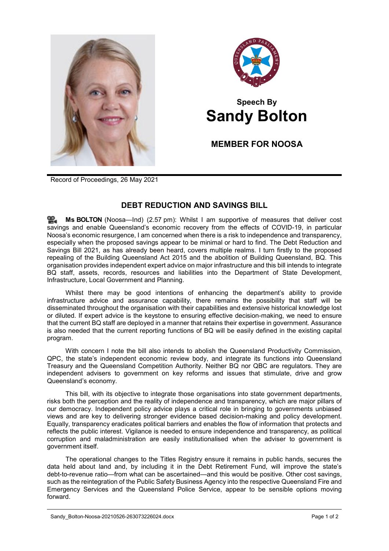



## **Speech By Sandy Bolton**

**MEMBER FOR NOOSA**

Record of Proceedings, 26 May 2021

## **DEBT REDUCTION AND SAVINGS BILL**

**Ms [BOLTON](http://www.parliament.qld.gov.au/docs/find.aspx?id=0Mba20210526_145719)** (Noosa—Ind) (2.57 pm): Whilst I am supportive of measures that deliver cost savings and enable Queensland's economic recovery from the effects of COVID-19, in particular Noosa's economic resurgence, I am concerned when there is a risk to independence and transparency, especially when the proposed savings appear to be minimal or hard to find. The Debt Reduction and Savings Bill 2021, as has already been heard, covers multiple realms. I turn firstly to the proposed repealing of the Building Queensland Act 2015 and the abolition of Building Queensland, BQ. This organisation provides independent expert advice on major infrastructure and this bill intends to integrate BQ staff, assets, records, resources and liabilities into the Department of State Development, Infrastructure, Local Government and Planning.

Whilst there may be good intentions of enhancing the department's ability to provide infrastructure advice and assurance capability, there remains the possibility that staff will be disseminated throughout the organisation with their capabilities and extensive historical knowledge lost or diluted. If expert advice is the keystone to ensuring effective decision-making, we need to ensure that the current BQ staff are deployed in a manner that retains their expertise in government. Assurance is also needed that the current reporting functions of BQ will be easily defined in the existing capital program.

With concern I note the bill also intends to abolish the Queensland Productivity Commission, QPC, the state's independent economic review body, and integrate its functions into Queensland Treasury and the Queensland Competition Authority. Neither BQ nor QBC are regulators. They are independent advisers to government on key reforms and issues that stimulate, drive and grow Queensland's economy.

This bill, with its objective to integrate those organisations into state government departments, risks both the perception and the reality of independence and transparency, which are major pillars of our democracy. Independent policy advice plays a critical role in bringing to governments unbiased views and are key to delivering stronger evidence based decision-making and policy development. Equally, transparency eradicates political barriers and enables the flow of information that protects and reflects the public interest. Vigilance is needed to ensure independence and transparency, as political corruption and maladministration are easily institutionalised when the adviser to government is government itself.

The operational changes to the Titles Registry ensure it remains in public hands, secures the data held about land and, by including it in the Debt Retirement Fund, will improve the state's debt-to-revenue ratio—from what can be ascertained—and this would be positive. Other cost savings, such as the reintegration of the Public Safety Business Agency into the respective Queensland Fire and Emergency Services and the Queensland Police Service, appear to be sensible options moving forward.